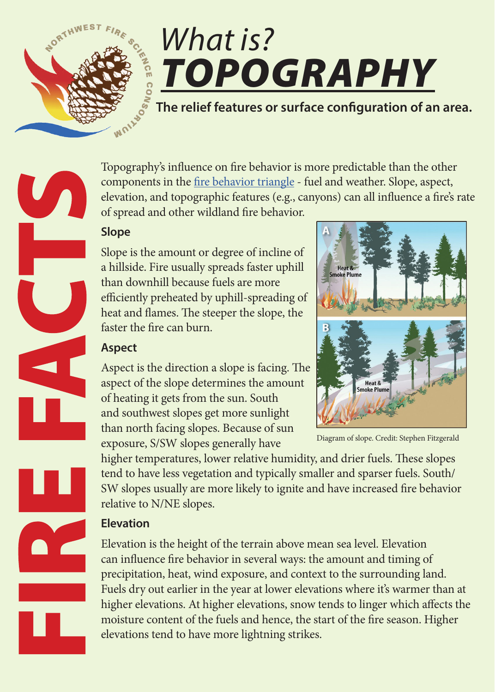

# *What is? TOPOGRAPHY*

**The relief features or surface configuration of an area.** 

Topography's influence on fire behavior is more predictable than the other components in the [fire behavior triangle](http://www.nwfirescience.org/biblio/nwfsc-fire-facts-what-fire-behavior) - fuel and weather. Slope, aspect, elevation, and topographic features (e.g., canyons) can all influence a fire's rate of spread and other wildland fire behavior.

### **Slope**

Slope is the amount or degree of incline of a hillside. Fire usually spreads faster uphill than downhill because fuels are more efficiently preheated by uphill-spreading of heat and flames. The steeper the slope, the faster the fire can burn.

# **Aspect**

Aspect is the direction a slope is facing. The aspect of the slope determines the amount of heating it gets from the sun. South and southwest slopes get more sunlight than north facing slopes. Because of sun exposure, S/SW slopes generally have

Diagram of slope. Credit: Stephen Fitzgerald

higher temperatures, lower relative humidity, and drier fuels. These slopes tend to have less vegetation and typically smaller and sparser fuels. South/ SW slopes usually are more likely to ignite and have increased fire behavior relative to N/NE slopes.

# **Elevation**

Elevation is the height of the terrain above mean sea level. Elevation can influence fire behavior in several ways: the amount and timing of precipitation, heat, wind exposure, and context to the surrounding land. Fuels dry out earlier in the year at lower elevations where it's warmer than at higher elevations. At higher elevations, snow tends to linger which affects the moisture content of the fuels and hence, the start of the fire season. Higher elevations tend to have more lightning strikes.